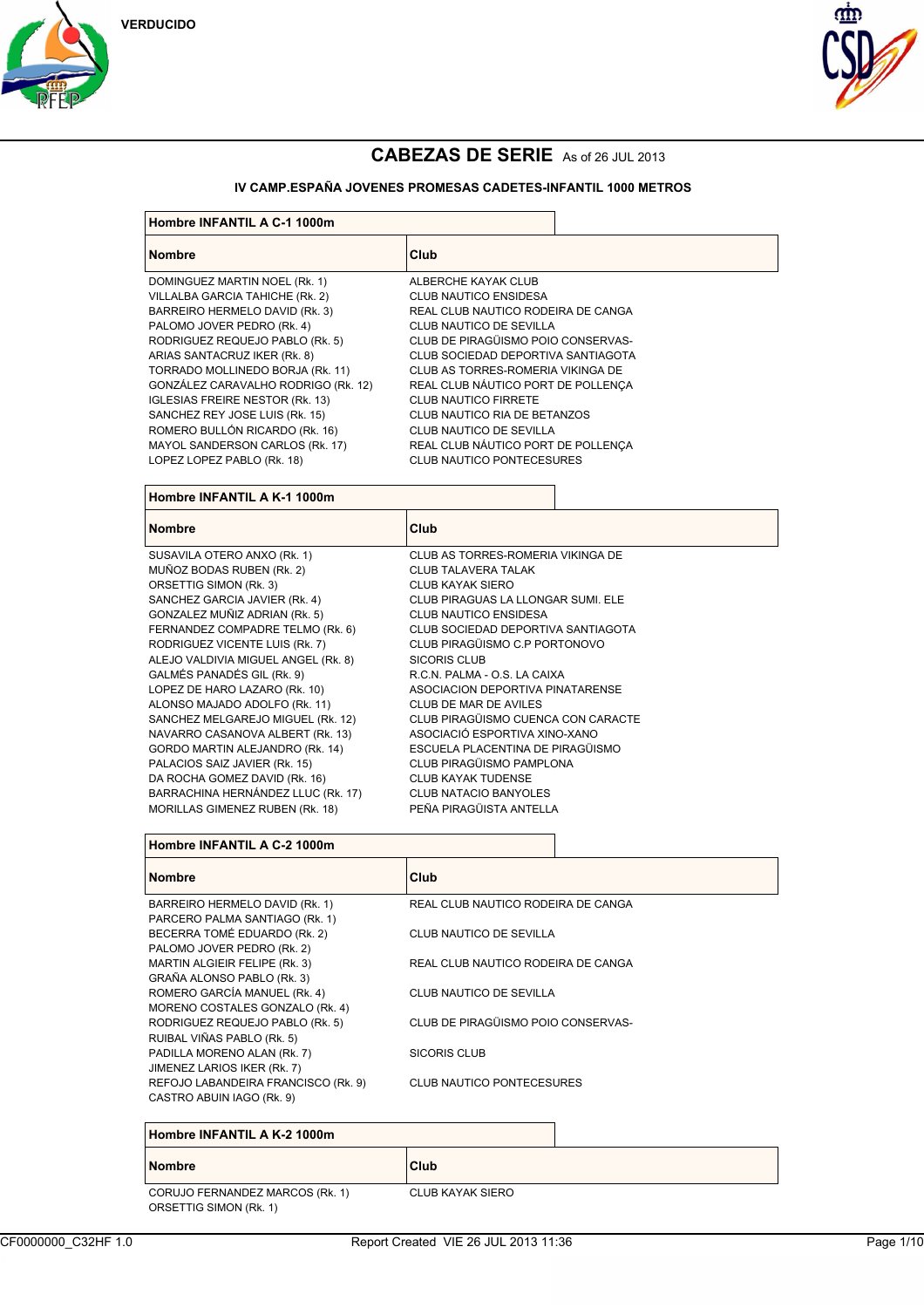





#### **IV CAMP.ESPAÑA JOVENES PROMESAS CADETES-INFANTIL 1000 METROS**

| Hombre INFANTIL A C-1 1000m            |                                    |  |
|----------------------------------------|------------------------------------|--|
| <b>Nombre</b>                          | Club                               |  |
| DOMINGUEZ MARTIN NOEL (Rk. 1)          | ALBERCHE KAYAK CLUB                |  |
| VILLALBA GARCIA TAHICHE (Rk. 2)        | <b>CLUB NAUTICO ENSIDESA</b>       |  |
| BARREIRO HERMELO DAVID (Rk. 3)         | REAL CLUB NAUTICO RODEIRA DE CANGA |  |
| PALOMO JOVER PEDRO (Rk. 4)             | CLUB NAUTICO DE SEVILLA            |  |
| RODRIGUEZ REQUEJO PABLO (RK. 5)        | CLUB DE PIRAGÜISMO POIO CONSERVAS- |  |
| ARIAS SANTACRUZ IKER (Rk. 8)           | CLUB SOCIEDAD DEPORTIVA SANTIAGOTA |  |
| TORRADO MOLLINEDO BORJA (Rk. 11)       | CLUB AS TORRES-ROMERIA VIKINGA DE  |  |
| GONZÁLEZ CARAVALHO RODRIGO (Rk. 12)    | REAL CLUB NÁUTICO PORT DE POLLENÇA |  |
| <b>IGLESIAS FREIRE NESTOR (Rk. 13)</b> | <b>CLUB NAUTICO FIRRETE</b>        |  |
| SANCHEZ REY JOSE LUIS (Rk. 15)         | CLUB NAUTICO RIA DE BETANZOS       |  |
| ROMERO BULLÓN RICARDO (Rk. 16)         | CLUB NAUTICO DE SEVILLA            |  |
| MAYOL SANDERSON CARLOS (Rk. 17)        | REAL CLUB NÁUTICO PORT DE POLLENÇA |  |
| LOPEZ LOPEZ PABLO (Rk. 18)             | <b>CLUB NAUTICO PONTECESURES</b>   |  |
| Hombre INFANTIL A K-1 1000m            |                                    |  |
| <b>Nombre</b>                          | Club                               |  |
| SUSAVILA OTERO ANXO (RK 1)             | CLUB AS TORRES-ROMERIA VIKINGA DE  |  |

| Hombre INFANTIL A K-1 1000m         |                                    |  |
|-------------------------------------|------------------------------------|--|
| <b>Nombre</b>                       | Club                               |  |
| SUSAVILA OTERO ANXO (Rk. 1)         | CLUB AS TORRES-ROMERIA VIKINGA DE  |  |
| MUÑOZ BODAS RUBEN (Rk. 2)           | <b>CLUB TALAVERA TALAK</b>         |  |
| ORSETTIG SIMON (Rk. 3)              | CLUB KAYAK SIERO                   |  |
| SANCHEZ GARCIA JAVIER (Rk. 4)       | CLUB PIRAGUAS LA LLONGAR SUMI. ELE |  |
| GONZALEZ MUÑIZ ADRIAN (Rk. 5)       | <b>CLUB NAUTICO ENSIDESA</b>       |  |
| FERNANDEZ COMPADRE TELMO (Rk. 6)    | CLUB SOCIEDAD DEPORTIVA SANTIAGOTA |  |
| RODRIGUEZ VICENTE LUIS (Rk. 7)      | CLUB PIRAGÜISMO C.P PORTONOVO      |  |
| ALEJO VALDIVIA MIGUEL ANGEL (Rk. 8) | <b>SICORIS CLUB</b>                |  |
| GALMÉS PANADÉS GIL (Rk. 9)          | R.C.N. PALMA - O.S. LA CAIXA       |  |
| LOPEZ DE HARO LAZARO (Rk. 10)       | ASOCIACION DEPORTIVA PINATARENSE   |  |
| ALONSO MAJADO ADOLFO (Rk. 11)       | CLUB DE MAR DE AVILES              |  |
| SANCHEZ MELGAREJO MIGUEL (Rk. 12)   | CLUB PIRAGÜISMO CUENCA CON CARACTE |  |
| NAVARRO CASANOVA ALBERT (Rk. 13)    | ASOCIACIÓ ESPORTIVA XINO-XANO      |  |
| GORDO MARTIN ALEJANDRO (Rk. 14)     | ESCUELA PLACENTINA DE PIRAGÜISMO   |  |
| PALACIOS SAIZ JAVIER (Rk. 15)       | CLUB PIRAGÜISMO PAMPLONA           |  |
| DA ROCHA GOMEZ DAVID (Rk. 16)       | <b>CLUB KAYAK TUDENSE</b>          |  |
| BARRACHINA HERNÁNDEZ LLUC (Rk. 17)  | <b>CLUB NATACIO BANYOLES</b>       |  |
| MORILLAS GIMENEZ RUBEN (Rk. 18)     | PEÑA PIRAGÜISTA ANTELLA            |  |
|                                     |                                    |  |

| Hombre INFANTIL A C-2 1000m                                      |                                    |
|------------------------------------------------------------------|------------------------------------|
| <b>Nombre</b>                                                    | Club                               |
| BARREIRO HERMELO DAVID (Rk. 1)<br>PARCERO PALMA SANTIAGO (Rk. 1) | REAL CLUB NAUTICO RODEIRA DE CANGA |
| BECERRA TOMÉ EDUARDO (Rk. 2)<br>PALOMO JOVER PEDRO (Rk. 2)       | CLUB NAUTICO DE SEVILLA            |
| MARTIN ALGIEIR FELIPE (Rk. 3)<br>GRAÑA ALONSO PABLO (Rk. 3)      | REAL CLUB NAUTICO RODEIRA DE CANGA |
| ROMERO GARCÍA MANUEL (Rk. 4)<br>MORENO COSTALES GONZALO (Rk. 4)  | CLUB NAUTICO DE SEVILLA            |
| RODRIGUEZ REQUEJO PABLO (RK. 5)<br>RUIBAL VIÑAS PABLO (RK. 5)    | CLUB DE PIRAGÜISMO POIO CONSERVAS- |
| PADILLA MORENO ALAN (Rk. 7)<br>JIMENEZ LARIOS IKER (Rk. 7)       | SICORIS CLUB                       |
| REFOJO LABANDEIRA FRANCISCO (Rk. 9)<br>CASTRO ABUIN IAGO (Rk. 9) | <b>CLUB NAUTICO PONTECESURES</b>   |

#### **Hombre INFANTIL A K-2 1000m**

#### **Nombre Club**

CORUJO FERNANDEZ MARCOS (Rk. 1) CLUB KAYAK SIERO ORSETTIG SIMON (Rk. 1)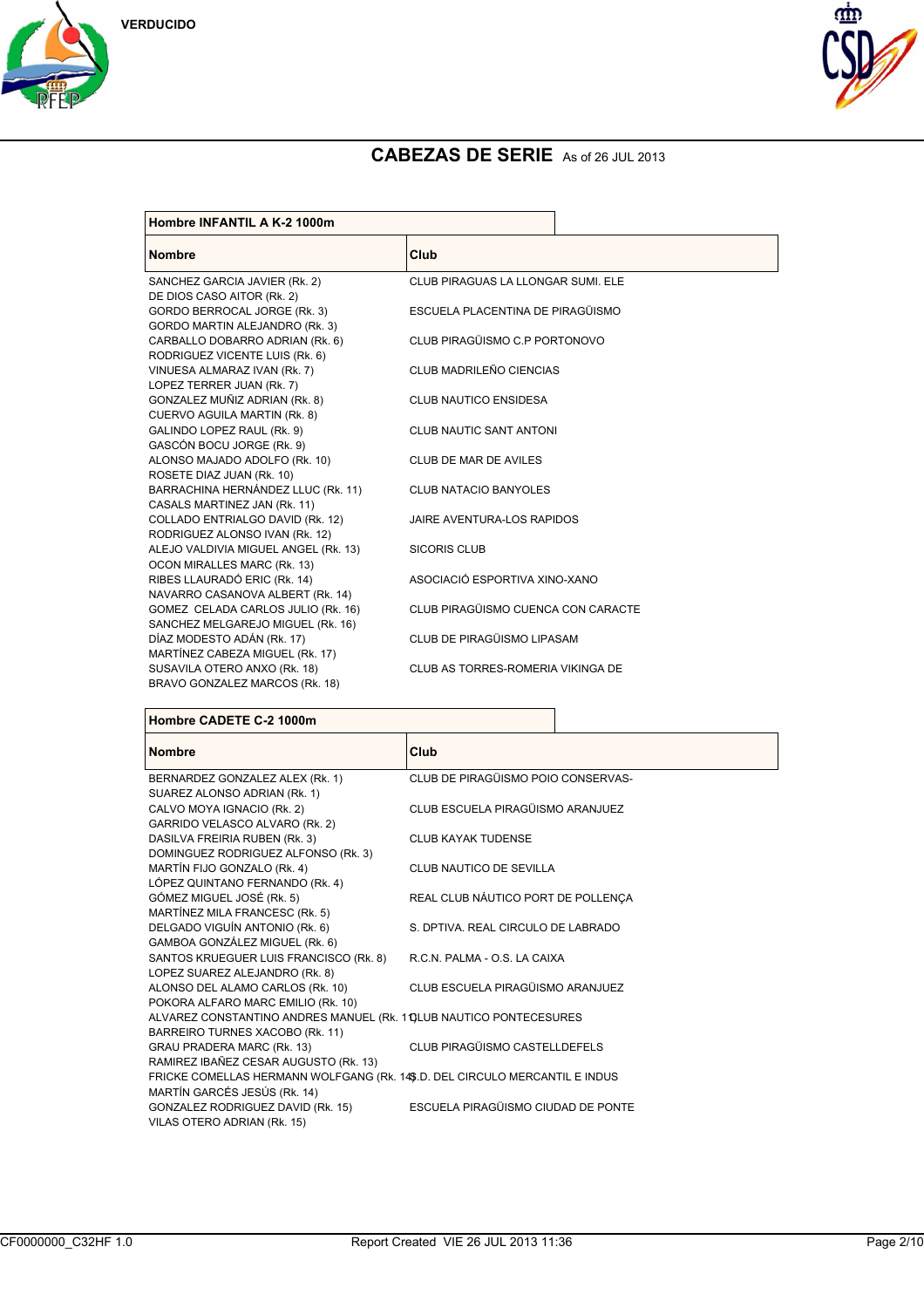





| Club                               |
|------------------------------------|
| CLUB PIRAGUAS LA LLONGAR SUMI. ELE |
|                                    |
| ESCUELA PLACENTINA DE PIRAGÜISMO   |
|                                    |
| CLUB PIRAGÜISMO C.P PORTONOVO      |
|                                    |
| CLUB MADRILEÑO CIENCIAS            |
|                                    |
| CLUB NAUTICO ENSIDESA              |
|                                    |
| <b>CLUB NAUTIC SANT ANTONI</b>     |
|                                    |
| CLUB DE MAR DE AVILES              |
|                                    |
| <b>CLUB NATACIO BANYOLES</b>       |
|                                    |
| JAIRE AVENTURA-LOS RAPIDOS         |
|                                    |
| <b>SICORIS CLUB</b>                |
| ASOCIACIÓ ESPORTIVA XINO-XANO      |
|                                    |
| CLUB PIRAGÜISMO CUENCA CON CARACTE |
|                                    |
| CLUB DE PIRAGÜISMO LIPASAM         |
|                                    |
| CLUB AS TORRES-ROMERIA VIKINGA DE  |
|                                    |
|                                    |

#### **Hombre CADETE C-2 1000m**

| <b>Nombre</b>                                                               | Club                               |
|-----------------------------------------------------------------------------|------------------------------------|
| BERNARDEZ GONZALEZ ALEX (Rk. 1)                                             | CLUB DE PIRAGÜISMO POIO CONSERVAS- |
| SUAREZ ALONSO ADRIAN (Rk. 1)                                                |                                    |
| CALVO MOYA IGNACIO (Rk. 2)                                                  | CLUB ESCUELA PIRAGÜISMO ARANJUEZ   |
| GARRIDO VELASCO ALVARO (Rk. 2)                                              |                                    |
| DASILVA FREIRIA RUBEN (Rk. 3)                                               | <b>CLUB KAYAK TUDENSE</b>          |
| DOMINGUEZ RODRIGUEZ ALFONSO (Rk. 3)                                         |                                    |
| MARTÍN FIJO GONZALO (Rk. 4)                                                 | CLUB NAUTICO DE SEVILLA            |
| LÓPEZ QUINTANO FERNANDO (Rk. 4)                                             |                                    |
| GÓMEZ MIGUEL JOSÉ (Rk. 5)                                                   | REAL CLUB NÁUTICO PORT DE POLLENCA |
| MARTÍNEZ MILA FRANCESC (Rk. 5)                                              |                                    |
| DELGADO VIGUÍN ANTONIO (Rk. 6)                                              | S. DPTIVA, REAL CIRCULO DE LABRADO |
| GAMBOA GONZÁLEZ MIGUEL (Rk. 6)                                              |                                    |
| SANTOS KRUEGUER LUIS FRANCISCO (Rk. 8)                                      | R.C.N. PALMA - O.S. LA CAIXA       |
| LOPEZ SUAREZ ALEJANDRO (Rk. 8)                                              |                                    |
| ALONSO DEL ALAMO CARLOS (Rk. 10)                                            | CLUB ESCUELA PIRAGÜISMO ARANJUEZ   |
| POKORA ALFARO MARC EMILIO (Rk. 10)                                          |                                    |
| ALVAREZ CONSTANTINO ANDRES MANUEL (RK. 10LUB NAUTICO PONTECESURES           |                                    |
| BARREIRO TURNES XACOBO (Rk. 11)                                             |                                    |
| GRAU PRADERA MARC (Rk. 13)                                                  | CLUB PIRAGÜISMO CASTELLDEFELS      |
| RAMIREZ IBAÑEZ CESAR AUGUSTO (Rk. 13)                                       |                                    |
| FRICKE COMELLAS HERMANN WOLFGANG (Rk. 14\$.D. DEL CIRCULO MERCANTIL E INDUS |                                    |
| MARTÍN GARCÉS JESÚS (Rk. 14)                                                |                                    |
| GONZALEZ RODRIGUEZ DAVID (Rk. 15)                                           | ESCUELA PIRAGÜISMO CIUDAD DE PONTE |
| VILAS OTERO ADRIAN (Rk. 15)                                                 |                                    |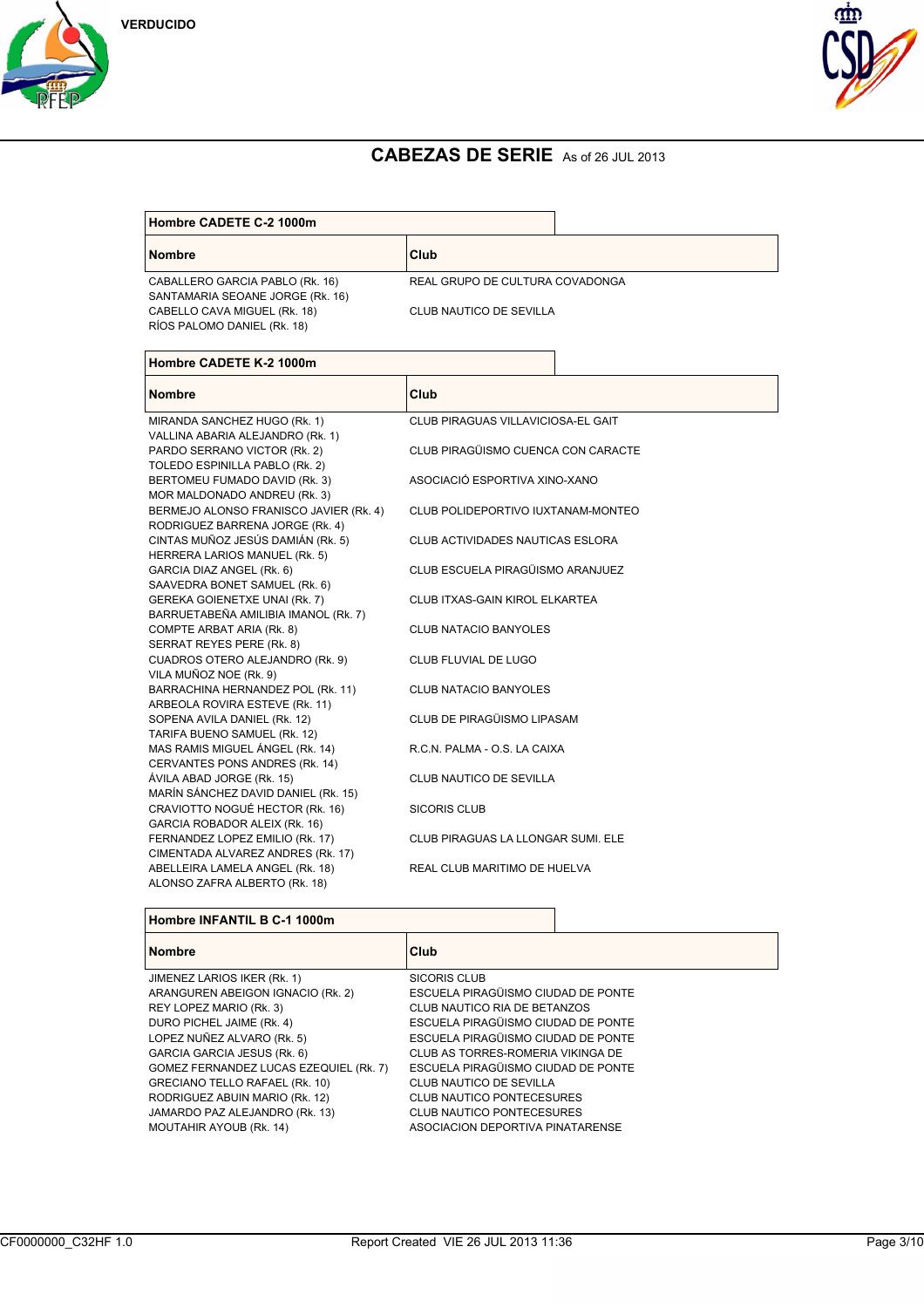





| Hombre CADETE C-2 1000m                                             |                                 |  |
|---------------------------------------------------------------------|---------------------------------|--|
| <b>Nombre</b>                                                       | Club                            |  |
| CABALLERO GARCIA PABLO (Rk. 16)<br>SANTAMARIA SEOANE JORGE (Rk. 16) | REAL GRUPO DE CULTURA COVADONGA |  |
| CABELLO CAVA MIGUEL (Rk. 18)<br>RÍOS PALOMO DANIEL (RK. 18)         | CLUB NAUTICO DE SEVILLA         |  |

| Hombre CADETE K-2 1000m                |                                    |
|----------------------------------------|------------------------------------|
| <b>Nombre</b>                          | Club                               |
| MIRANDA SANCHEZ HUGO (Rk. 1)           | CLUB PIRAGUAS VILLAVICIOSA-EL GAIT |
| VALLINA ABARIA ALEJANDRO (Rk. 1)       |                                    |
| PARDO SERRANO VICTOR (Rk. 2)           | CLUB PIRAGÜISMO CUENCA CON CARACTE |
| TOLEDO ESPINILLA PABLO (Rk. 2)         |                                    |
| BERTOMEU FUMADO DAVID (Rk. 3)          | ASOCIACIÓ ESPORTIVA XINO-XANO      |
| MOR MALDONADO ANDREU (Rk. 3)           |                                    |
| BERMEJO ALONSO FRANISCO JAVIER (Rk. 4) | CLUB POLIDEPORTIVO IUXTANAM-MONTEO |
| RODRIGUEZ BARRENA JORGE (Rk. 4)        |                                    |
| CINTAS MUÑOZ JESÚS DAMIÁN (Rk. 5)      | CLUB ACTIVIDADES NAUTICAS ESLORA   |
| HERRERA LARIOS MANUEL (Rk. 5)          |                                    |
| GARCIA DIAZ ANGEL (Rk. 6)              | CLUB ESCUELA PIRAGÜISMO ARANJUEZ   |
| SAAVEDRA BONET SAMUEL (Rk. 6)          |                                    |
| GEREKA GOIENETXE UNAI (Rk. 7)          | CLUB ITXAS-GAIN KIROL ELKARTEA     |
| BARRUETABEÑA AMILIBIA IMANOL (Rk. 7)   |                                    |
| COMPTE ARBAT ARIA (Rk. 8)              | <b>CLUB NATACIO BANYOLES</b>       |
| SERRAT REYES PERE (Rk. 8)              |                                    |
| CUADROS OTERO ALEJANDRO (Rk. 9)        | CLUB FLUVIAL DE LUGO               |
| VILA MUÑOZ NOE (Rk. 9)                 |                                    |
| BARRACHINA HERNANDEZ POL (Rk. 11)      | CLUB NATACIO BANYOLES              |
| ARBEOLA ROVIRA ESTEVE (Rk. 11)         |                                    |
| SOPENA AVILA DANIEL (Rk. 12)           | CLUB DE PIRAGÜISMO LIPASAM         |
| TARIFA BUENO SAMUEL (Rk. 12)           |                                    |
| MAS RAMIS MIGUEL ÁNGEL (Rk. 14)        | R.C.N. PALMA - O.S. LA CAIXA       |
| CERVANTES PONS ANDRES (Rk. 14)         |                                    |
| ÁVILA ABAD JORGE (Rk. 15)              | CLUB NAUTICO DE SEVILLA            |
| MARÍN SÁNCHEZ DAVID DANIEL (Rk. 15)    |                                    |
| CRAVIOTTO NOGUÉ HECTOR (Rk. 16)        | <b>SICORIS CLUB</b>                |
| GARCIA ROBADOR ALEIX (Rk. 16)          |                                    |
| FERNANDEZ LOPEZ EMILIO (Rk. 17)        | CLUB PIRAGUAS LA LLONGAR SUMI. ELE |
| CIMENTADA ALVAREZ ANDRES (Rk. 17)      |                                    |
| ABELLEIRA LAMELA ANGEL (Rk. 18)        | REAL CLUB MARITIMO DE HUELVA       |
| ALONSO ZAFRA ALBERTO (Rk. 18)          |                                    |

| Hombre INFANTIL B C-1 1000m            |                                    |
|----------------------------------------|------------------------------------|
| <b>Nombre</b>                          | Club                               |
| JIMENEZ LARIOS IKER (RK. 1)            | SICORIS CLUB                       |
| ARANGUREN ABEIGON IGNACIO (Rk. 2)      | ESCUELA PIRAGÜISMO CIUDAD DE PONTE |
| REY LOPEZ MARIO (Rk. 3)                | CLUB NAUTICO RIA DE BETANZOS       |
| DURO PICHEL JAIME (Rk. 4)              | ESCUELA PIRAGÜISMO CIUDAD DE PONTE |
| LOPEZ NUÑEZ ALVARO (Rk. 5)             | ESCUELA PIRAGÜISMO CIUDAD DE PONTE |
| GARCIA GARCIA JESUS (Rk. 6)            | CLUB AS TORRES-ROMERIA VIKINGA DE  |
| GOMEZ FERNANDEZ LUCAS EZEQUIEL (Rk. 7) | ESCUELA PIRAGÜISMO CIUDAD DE PONTE |
| GRECIANO TELLO RAFAEL (Rk. 10)         | CLUB NAUTICO DE SEVILLA            |
| RODRIGUEZ ABUIN MARIO (Rk. 12)         | <b>CLUB NAUTICO PONTECESURES</b>   |
| JAMARDO PAZ ALEJANDRO (Rk. 13)         | <b>CLUB NAUTICO PONTECESURES</b>   |
| MOUTAHIR AYOUB (Rk. 14)                | ASOCIACION DEPORTIVA PINATARENSE   |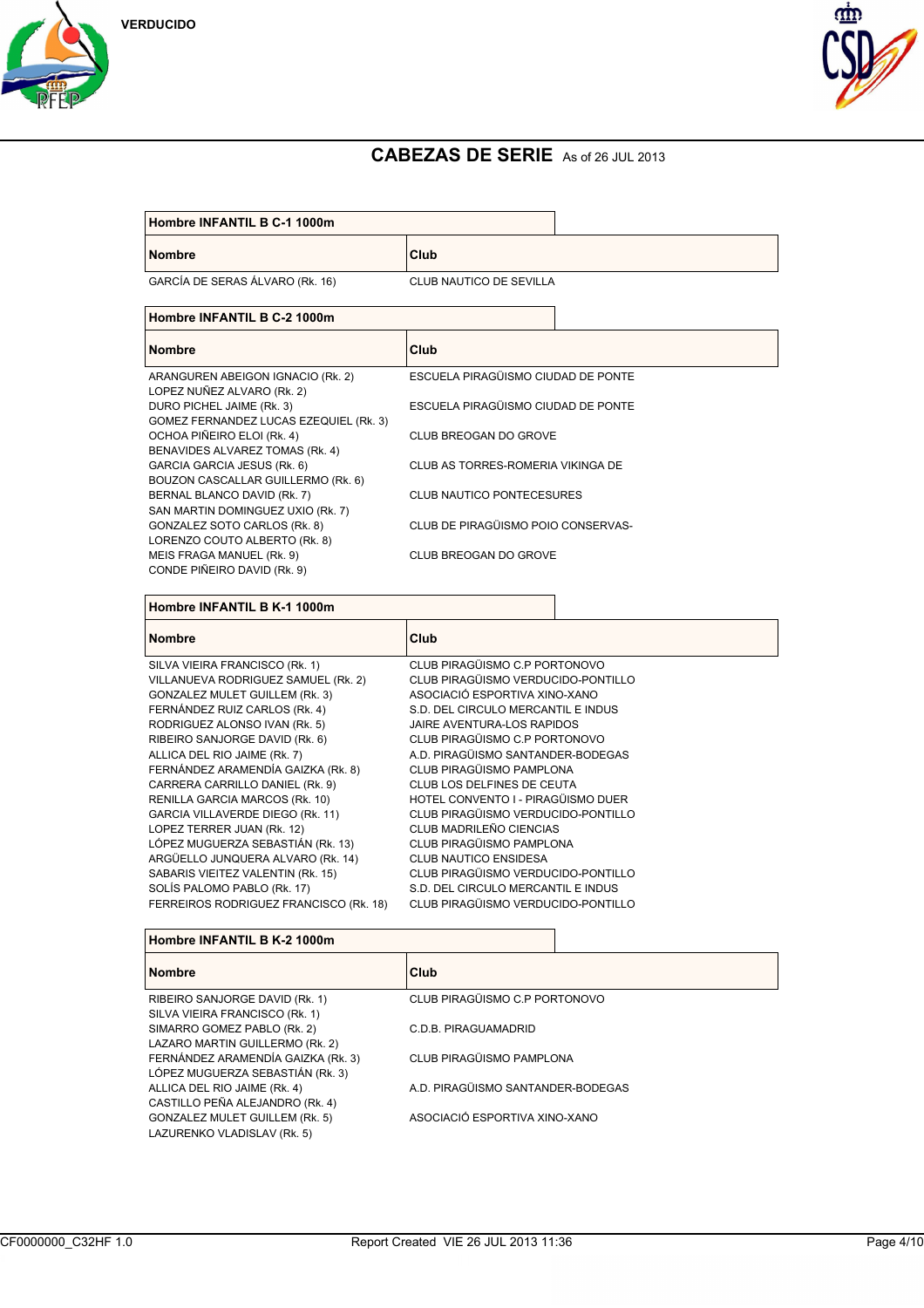



| Hombre INFANTIL B C-1 1000m |  |  |
|-----------------------------|--|--|
|                             |  |  |

**Nombre Club**

GARCÍA DE SERAS ÁLVARO (Rk. 16) CLUB NAUTICO DE SEVILLA

| <b>Nombre</b>                          | Club                               |
|----------------------------------------|------------------------------------|
| ARANGUREN ABEIGON IGNACIO (Rk. 2)      | ESCUELA PIRAGÜISMO CIUDAD DE PONTE |
| LOPEZ NUÑEZ ALVARO (Rk. 2)             |                                    |
| DURO PICHEL JAIME (Rk. 3)              | ESCUELA PIRAGÜISMO CIUDAD DE PONTE |
| GOMEZ FERNANDEZ LUCAS EZEQUIEL (Rk. 3) |                                    |
| OCHOA PIÑEIRO ELOI (Rk. 4)             | CLUB BREOGAN DO GROVE              |
| BENAVIDES ALVAREZ TOMAS (Rk. 4)        |                                    |
| GARCIA GARCIA JESUS (Rk. 6)            | CLUB AS TORRES-ROMERIA VIKINGA DE  |
| BOUZON CASCALLAR GUILLERMO (Rk. 6)     |                                    |
| BERNAL BLANCO DAVID (Rk. 7)            | <b>CLUB NAUTICO PONTECESURES</b>   |
| SAN MARTIN DOMINGUEZ UXIO (Rk. 7)      |                                    |
| GONZALEZ SOTO CARLOS (Rk. 8)           | CLUB DE PIRAGÜISMO POIO CONSERVAS- |
| LORENZO COUTO ALBERTO (RK. 8)          |                                    |
| MEIS FRAGA MANUEL (Rk. 9)              | CLUB BREOGAN DO GROVE              |
| CONDE PIÑEIRO DAVID (Rk. 9)            |                                    |

**Hombre INFANTIL B K-1 1000m**

| <b>Nombre</b>                          | Club                               |
|----------------------------------------|------------------------------------|
| SILVA VIEIRA FRANCISCO (Rk. 1)         | CLUB PIRAGÜISMO C.P PORTONOVO      |
| VILLANUEVA RODRIGUEZ SAMUEL (Rk. 2)    | CLUB PIRAGÜISMO VERDUCIDO-PONTILLO |
| <b>GONZALEZ MULET GUILLEM (RK. 3)</b>  | ASOCIACIÓ ESPORTIVA XINO-XANO      |
| FERNÁNDEZ RUIZ CARLOS (Rk. 4)          | S.D. DEL CIRCULO MERCANTIL E INDUS |
| RODRIGUEZ ALONSO IVAN (Rk. 5)          | JAIRE AVENTURA-LOS RAPIDOS         |
| RIBEIRO SANJORGE DAVID (Rk. 6)         | CLUB PIRAGÜISMO C.P PORTONOVO      |
| ALLICA DEL RIO JAIME (Rk. 7)           | A.D. PIRAGÜISMO SANTANDER-BODEGAS  |
| FERNÁNDEZ ARAMENDÍA GAIZKA (Rk. 8)     | CLUB PIRAGÜISMO PAMPLONA           |
| CARRERA CARRILLO DANIEL (Rk. 9)        | CLUB LOS DELFINES DE CEUTA         |
| RENILLA GARCIA MARCOS (Rk. 10)         | HOTEL CONVENTO I - PIRAGÜISMO DUER |
| GARCIA VILLAVERDE DIEGO (Rk. 11)       | CLUB PIRAGÜISMO VERDUCIDO-PONTILLO |
| LOPEZ TERRER JUAN (Rk. 12)             | CLUB MADRILEÑO CIENCIAS            |
| LÓPEZ MUGUERZA SEBASTIÁN (Rk. 13)      | CLUB PIRAGÜISMO PAMPLONA           |
| ARGÜELLO JUNQUERA ALVARO (Rk. 14)      | <b>CLUB NAUTICO ENSIDESA</b>       |
| SABARIS VIEITEZ VALENTIN (Rk. 15)      | CLUB PIRAGÜISMO VERDUCIDO-PONTILLO |
| SOLÍS PALOMO PABLO (RK. 17)            | S.D. DEL CIRCULO MERCANTIL E INDUS |
| FERREIROS RODRIGUEZ FRANCISCO (Rk. 18) | CLUB PIRAGÜISMO VERDUCIDO-PONTILLO |
|                                        |                                    |

| Hombre INFANTIL B K-2 1000m |  |  |  |  |
|-----------------------------|--|--|--|--|
|-----------------------------|--|--|--|--|

| <b>Nombre</b>                         | <b>Club</b>                       |
|---------------------------------------|-----------------------------------|
| RIBEIRO SANJORGE DAVID (RK. 1)        | CLUB PIRAGÜISMO C.P PORTONOVO     |
| SILVA VIEIRA FRANCISCO (Rk. 1)        |                                   |
| SIMARRO GOMEZ PABLO (Rk. 2)           | C.D.B. PIRAGUAMADRID              |
| LAZARO MARTIN GUILLERMO (Rk. 2)       |                                   |
| FERNÁNDEZ ARAMENDÍA GAIZKA (Rk. 3)    | CLUB PIRAGÜISMO PAMPLONA          |
| LÓPEZ MUGUERZA SEBASTIÁN (Rk. 3)      |                                   |
| ALLICA DEL RIO JAIME (Rk. 4)          | A.D. PIRAGÜISMO SANTANDER-BODEGAS |
| CASTILLO PEÑA ALEJANDRO (Rk. 4)       |                                   |
| <b>GONZALEZ MULET GUILLEM (RK. 5)</b> | ASOCIACIÓ ESPORTIVA XINO-XANO     |
| LAZURENKO VLADISLAV (Rk. 5)           |                                   |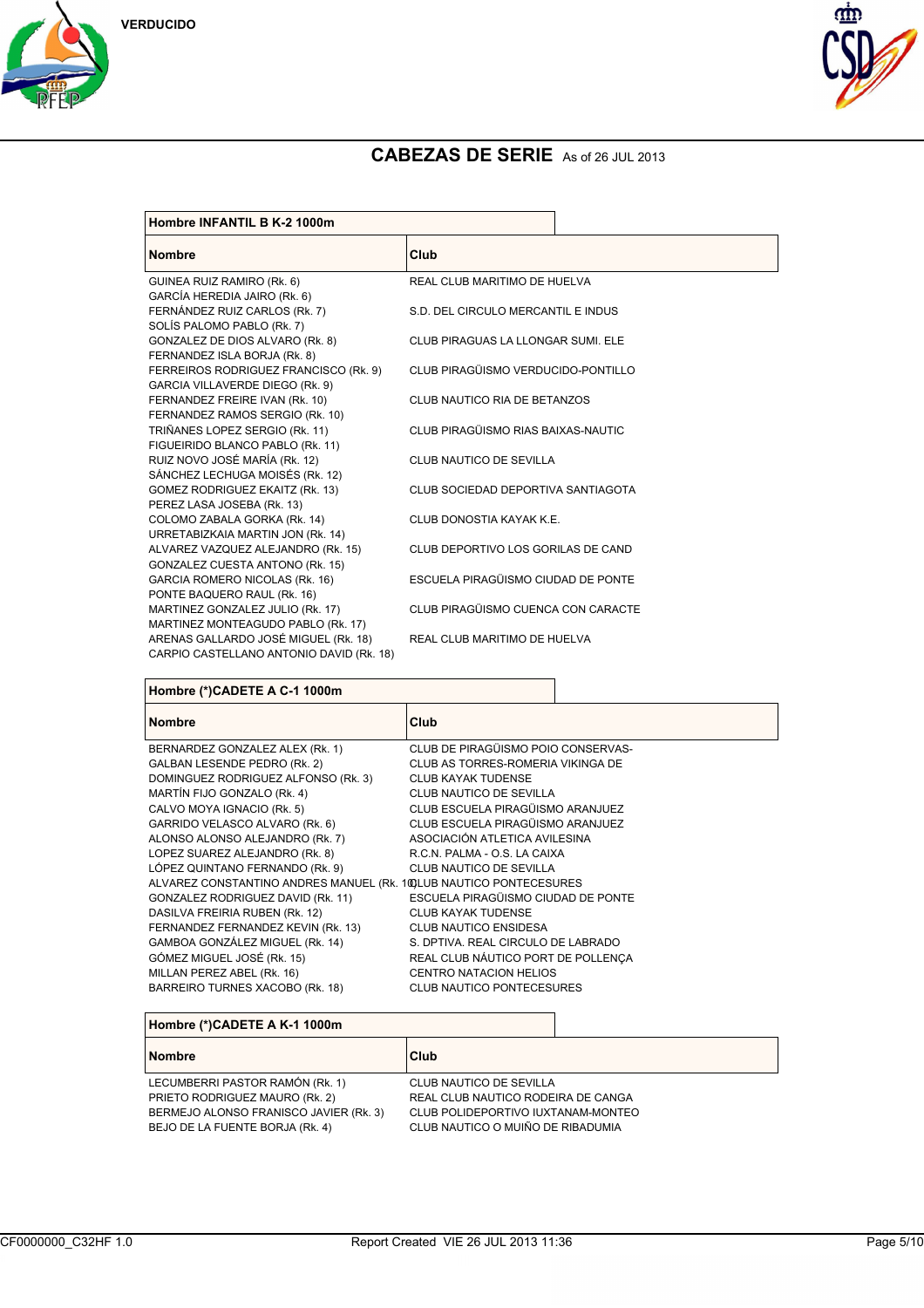





| Hombre INFANTIL B K-2 1000m                                        |                                    |  |
|--------------------------------------------------------------------|------------------------------------|--|
| <b>Nombre</b>                                                      | Club                               |  |
| GUINEA RUIZ RAMIRO (Rk. 6)                                         | REAL CLUB MARITIMO DE HUELVA       |  |
| GARCÍA HEREDIA JAIRO (Rk. 6)                                       |                                    |  |
| FERNÁNDEZ RUIZ CARLOS (Rk. 7)                                      | S.D. DEL CIRCULO MERCANTIL E INDUS |  |
| SOLÍS PALOMO PABLO (Rk. 7)                                         |                                    |  |
| GONZALEZ DE DIOS ALVARO (Rk. 8)                                    | CLUB PIRAGUAS LA LLONGAR SUMI. ELE |  |
| FERNANDEZ ISLA BORJA (Rk. 8)                                       |                                    |  |
| FERREIROS RODRIGUEZ FRANCISCO (Rk. 9)                              | CLUB PIRAGÜISMO VERDUCIDO-PONTILLO |  |
| GARCIA VILLAVERDE DIEGO (Rk. 9)                                    |                                    |  |
| FERNANDEZ FREIRE IVAN (Rk. 10)                                     | CLUB NAUTICO RIA DE BETANZOS       |  |
| FERNANDEZ RAMOS SERGIO (Rk. 10)                                    |                                    |  |
| TRIÑANES LOPEZ SERGIO (Rk. 11)                                     | CLUB PIRAGÜISMO RIAS BAIXAS-NAUTIC |  |
| FIGUEIRIDO BLANCO PABLO (Rk. 11)                                   |                                    |  |
| RUIZ NOVO JOSÉ MARÍA (Rk. 12)                                      | CLUB NAUTICO DE SEVILLA            |  |
| SÁNCHEZ LECHUGA MOISÉS (Rk. 12)<br>GOMEZ RODRIGUEZ EKAITZ (Rk. 13) | CLUB SOCIEDAD DEPORTIVA SANTIAGOTA |  |
| PEREZ LASA JOSEBA (Rk. 13)                                         |                                    |  |
| COLOMO ZABALA GORKA (Rk. 14)                                       | CLUB DONOSTIA KAYAK K.E.           |  |
| URRETABIZKAIA MARTIN JON (Rk. 14)                                  |                                    |  |
| ALVAREZ VAZQUEZ ALEJANDRO (Rk. 15)                                 | CLUB DEPORTIVO LOS GORILAS DE CAND |  |
| GONZALEZ CUESTA ANTONO (Rk. 15)                                    |                                    |  |
| GARCIA ROMERO NICOLAS (Rk. 16)                                     | ESCUELA PIRAGÜISMO CIUDAD DE PONTE |  |
| PONTE BAQUERO RAUL (Rk. 16)                                        |                                    |  |
| MARTINEZ GONZALEZ JULIO (Rk. 17)                                   | CLUB PIRAGÜISMO CUENCA CON CARACTE |  |
| MARTINEZ MONTEAGUDO PABLO (Rk. 17)                                 |                                    |  |
| ARENAS GALLARDO JOSÉ MIGUEL (Rk. 18)                               | REAL CLUB MARITIMO DE HUELVA       |  |
| CARPIO CASTELLANO ANTONIO DAVID (Rk. 18)                           |                                    |  |

## **Hombre (\*)CADETE A C-1 1000m**

| <b>Nombre</b>                                                       | Club                               |
|---------------------------------------------------------------------|------------------------------------|
| BERNARDEZ GONZALEZ ALEX (Rk. 1)                                     | CLUB DE PIRAGÜISMO POIO CONSERVAS- |
| <b>GALBAN LESENDE PEDRO (Rk. 2)</b>                                 | CLUB AS TORRES-ROMERIA VIKINGA DE  |
| DOMINGUEZ RODRIGUEZ ALFONSO (Rk. 3)                                 | <b>CLUB KAYAK TUDENSE</b>          |
| MARTÍN FIJO GONZALO (RK. 4)                                         | CLUB NAUTICO DE SEVILLA            |
| CALVO MOYA IGNACIO (Rk. 5)                                          | CLUB ESCUELA PIRAGÜISMO ARANJUEZ   |
| GARRIDO VELASCO ALVARO (Rk. 6)                                      | CLUB ESCUELA PIRAGÜISMO ARANJUEZ   |
| ALONSO ALONSO ALEJANDRO (Rk. 7)                                     | ASOCIACIÓN ATLETICA AVILESINA      |
| LOPEZ SUAREZ ALEJANDRO (Rk. 8)                                      | R.C.N. PALMA - O.S. LA CAIXA       |
| LÓPEZ QUINTANO FERNANDO (RK. 9)                                     | CLUB NAUTICO DE SEVILLA            |
| ALVAREZ CONSTANTINO ANDRES MANUEL (Rk. 100 LUB NAUTICO PONTECESURES |                                    |
| GONZALEZ RODRIGUEZ DAVID (Rk. 11)                                   | ESCUELA PIRAGÜISMO CIUDAD DE PONTE |
| DASILVA FREIRIA RUBEN (Rk. 12)                                      | <b>CLUB KAYAK TUDENSE</b>          |
| FERNANDEZ FERNANDEZ KEVIN (Rk. 13)                                  | CLUB NAUTICO ENSIDESA              |
| GAMBOA GONZÁLEZ MIGUEL (Rk. 14)                                     | S. DPTIVA, REAL CIRCULO DE LABRADO |
| GÓMEZ MIGUEL JOSÉ (Rk. 15)                                          | REAL CLUB NÁUTICO PORT DE POLLENÇA |
| MILLAN PEREZ ABEL (Rk. 16)                                          | <b>CENTRO NATACION HELIOS</b>      |
| BARREIRO TURNES XACOBO (Rk. 18)                                     | <b>CLUB NAUTICO PONTECESURES</b>   |

## **Hombre (\*)CADETE A K-1 1000m**

| <b>Nombre</b>                          | <b>Club</b>                        |
|----------------------------------------|------------------------------------|
| LECUMBERRI PASTOR RAMÓN (Rk. 1)        | CLUB NAUTICO DE SEVILLA            |
| PRIETO RODRIGUEZ MAURO (Rk. 2)         | REAL CLUB NAUTICO RODEIRA DE CANGA |
| BERMEJO ALONSO FRANISCO JAVIER (Rk. 3) | CLUB POLIDEPORTIVO IUXTANAM-MONTEO |
| BEJO DE LA FUENTE BORJA (Rk. 4)        | CLUB NAUTICO O MUIÑO DE RIBADUMIA  |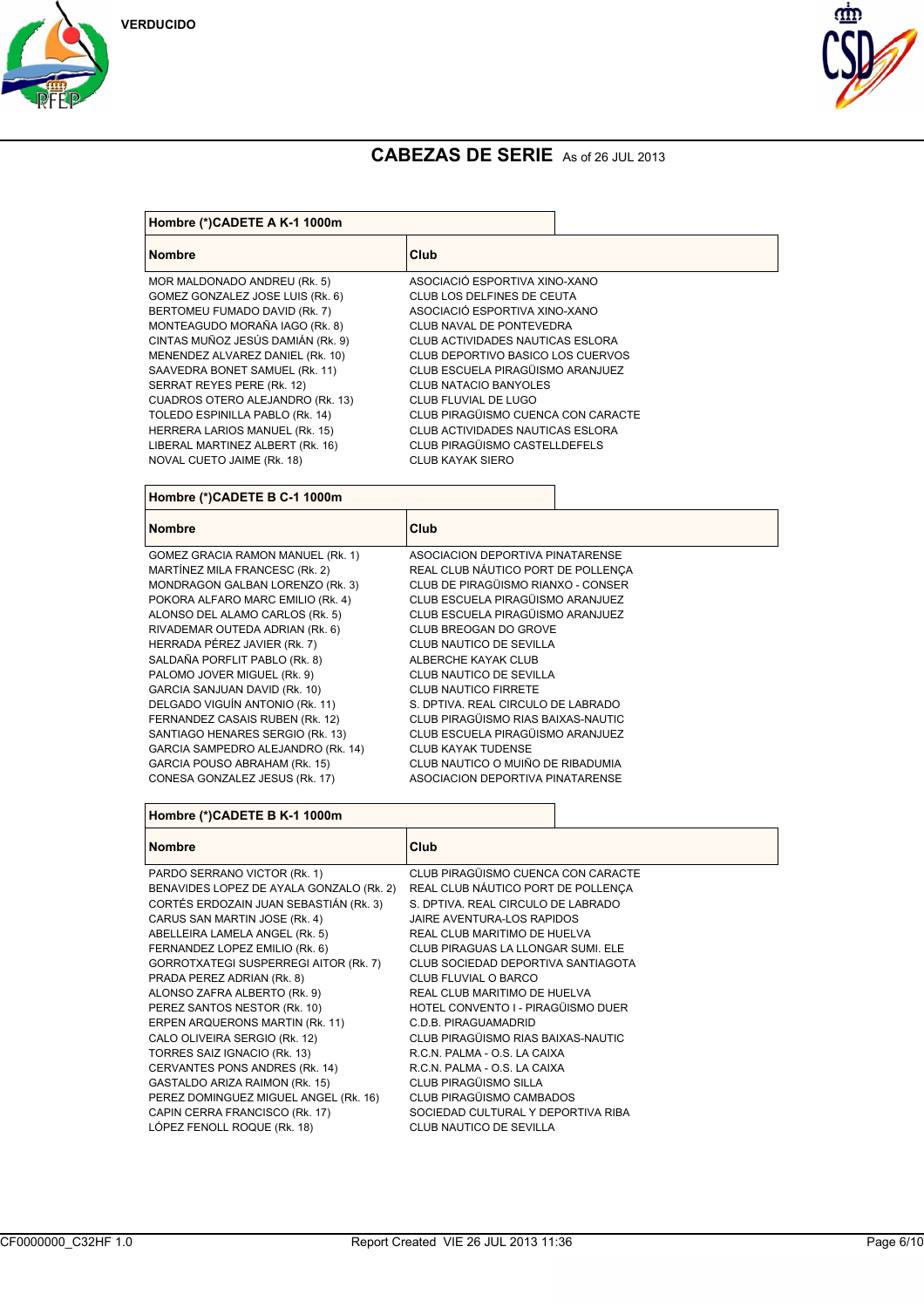





| Hombre (*)CADETE A K-1 1000m             |                                    |  |
|------------------------------------------|------------------------------------|--|
| <b>Nombre</b>                            | Club                               |  |
| MOR MALDONADO ANDREU (Rk. 5)             | ASOCIACIÓ ESPORTIVA XINO-XANO      |  |
| GOMEZ GONZALEZ JOSE LUIS (Rk. 6)         | CLUB LOS DELFINES DE CEUTA         |  |
| BERTOMEU FUMADO DAVID (Rk. 7)            | ASOCIACIÓ ESPORTIVA XINO-XANO      |  |
| MONTEAGUDO MORAÑA IAGO (Rk. 8)           | CLUB NAVAL DE PONTEVEDRA           |  |
| CINTAS MUÑOZ JESÚS DAMIÁN (Rk. 9)        | CLUB ACTIVIDADES NAUTICAS ESLORA   |  |
| MENENDEZ ALVAREZ DANIEL (Rk. 10)         | CLUB DEPORTIVO BASICO LOS CUERVOS  |  |
| SAAVEDRA BONET SAMUEL (Rk. 11)           | CLUB ESCUELA PIRAGÜISMO ARANJUEZ   |  |
| SERRAT REYES PERE (Rk. 12)               | <b>CLUB NATACIO BANYOLES</b>       |  |
| CUADROS OTERO ALEJANDRO (Rk. 13)         | CLUB FLUVIAL DE LUGO               |  |
| TOLEDO ESPINILLA PABLO (Rk. 14)          | CLUB PIRAGÜISMO CUENCA CON CARACTE |  |
| HERRERA LARIOS MANUEL (Rk. 15)           | CLUB ACTIVIDADES NAUTICAS ESLORA   |  |
| LIBERAL MARTINEZ ALBERT (Rk. 16)         | CLUB PIRAGÜISMO CASTELLDEFELS      |  |
| NOVAL CUETO JAIME (RK. 18)               | <b>CLUB KAYAK SIERO</b>            |  |
| Hombre (*)CADETE B C-1 1000m             |                                    |  |
|                                          |                                    |  |
| <b>Nombre</b>                            | Club                               |  |
| GOMEZ GRACIA RAMON MANUEL (Rk. 1)        | ASOCIACION DEPORTIVA PINATARENSE   |  |
| MARTÍNEZ MILA FRANCESC (Rk. 2)           | REAL CLUB NÁUTICO PORT DE POLLENÇA |  |
| MONDRAGON GALBAN LORENZO (Rk. 3)         | CLUB DE PIRAGÜISMO RIANXO - CONSER |  |
| POKORA ALFARO MARC EMILIO (Rk. 4)        | CLUB ESCUELA PIRAGÜISMO ARANJUEZ   |  |
| ALONSO DEL ALAMO CARLOS (Rk. 5)          | CLUB ESCUELA PIRAGÜISMO ARANJUEZ   |  |
| RIVADEMAR OUTEDA ADRIAN (Rk. 6)          | CLUB BREOGAN DO GROVE              |  |
| HERRADA PÉREZ JAVIER (Rk. 7)             | CLUB NAUTICO DE SEVILLA            |  |
| SALDAÑA PORFLIT PABLO (Rk. 8)            | ALBERCHE KAYAK CLUB                |  |
| PALOMO JOVER MIGUEL (Rk. 9)              | CLUB NAUTICO DE SEVILLA            |  |
| GARCIA SANJUAN DAVID (Rk. 10)            | <b>CLUB NAUTICO FIRRETE</b>        |  |
| DELGADO VIGUÍN ANTONIO (RK. 11)          | S. DPTIVA. REAL CIRCULO DE LABRADO |  |
| FERNANDEZ CASAIS RUBEN (Rk. 12)          | CLUB PIRAGÜISMO RIAS BAIXAS-NAUTIC |  |
| SANTIAGO HENARES SERGIO (Rk. 13)         | CLUB ESCUELA PIRAGÜISMO ARANJUEZ   |  |
| GARCIA SAMPEDRO ALEJANDRO (Rk. 14)       | <b>CLUB KAYAK TUDENSE</b>          |  |
| GARCIA POUSO ABRAHAM (Rk. 15)            | CLUB NAUTICO O MUIÑO DE RIBADUMIA  |  |
| CONESA GONZALEZ JESUS (Rk. 17)           | ASOCIACION DEPORTIVA PINATARENSE   |  |
| Hombre (*)CADETE B K-1 1000m             |                                    |  |
| <b>Nombre</b>                            | Club                               |  |
|                                          |                                    |  |
| PARDO SERRANO VICTOR (RK. 1)             | CLUB PIRAGÜISMO CUENCA CON CARACTE |  |
| BENAVIDES LOPEZ DE AYALA GONZALO (Rk. 2) | REAL CLUB NÁUTICO PORT DE POLLENÇA |  |
| CORTÉS ERDOZAIN JUAN SEBASTIÁN (Rk. 3)   | S. DPTIVA. REAL CIRCULO DE LABRADO |  |
| CARUS SAN MARTIN JOSE (Rk. 4)            | JAIRE AVENTURA-LOS RAPIDOS         |  |
| ABELLEIRA LAMELA ANGEL (Rk. 5)           | REAL CLUB MARITIMO DE HUELVA       |  |
| FERNANDEZ LOPEZ EMILIO (Rk. 6)           | CLUB PIRAGUAS LA LLONGAR SUMI. ELE |  |
| GORROTXATEGI SUSPERREGI AITOR (Rk. 7)    | CLUB SOCIEDAD DEPORTIVA SANTIAGOTA |  |
| PRADA PEREZ ADRIAN (Rk. 8)               | CLUB FLUVIAL O BARCO               |  |
| ALONSO ZAFRA ALBERTO (Rk. 9)             | REAL CLUB MARITIMO DE HUELVA       |  |
| PEREZ SANTOS NESTOR (Rk. 10)             | HOTEL CONVENTO I - PIRAGÜISMO DUER |  |
| ERPEN ARQUERONS MARTIN (Rk. 11)          | C.D.B. PIRAGUAMADRID               |  |
| CALO OLIVEIRA SERGIO (Rk. 12)            | CLUB PIRAGÜISMO RIAS BAIXAS-NAUTIC |  |
| TORRES SAIZ IGNACIO (Rk. 13)             | R.C.N. PALMA - O.S. LA CAIXA       |  |
| CERVANTES PONS ANDRES (Rk. 14)           | R.C.N. PALMA - O.S. LA CAIXA       |  |
| GASTALDO ARIZA RAIMON (Rk. 15)           | CLUB PIRAGÜISMO SILLA              |  |
| PEREZ DOMINGUEZ MIGUEL ANGEL (Rk. 16)    | CLUB PIRAGÜISMO CAMBADOS           |  |
| CAPIN CERRA FRANCISCO (Rk. 17)           | SOCIEDAD CULTURAL Y DEPORTIVA RIBA |  |
| LÓPEZ FENOLL ROQUE (Rk. 18)              | CLUB NAUTICO DE SEVILLA            |  |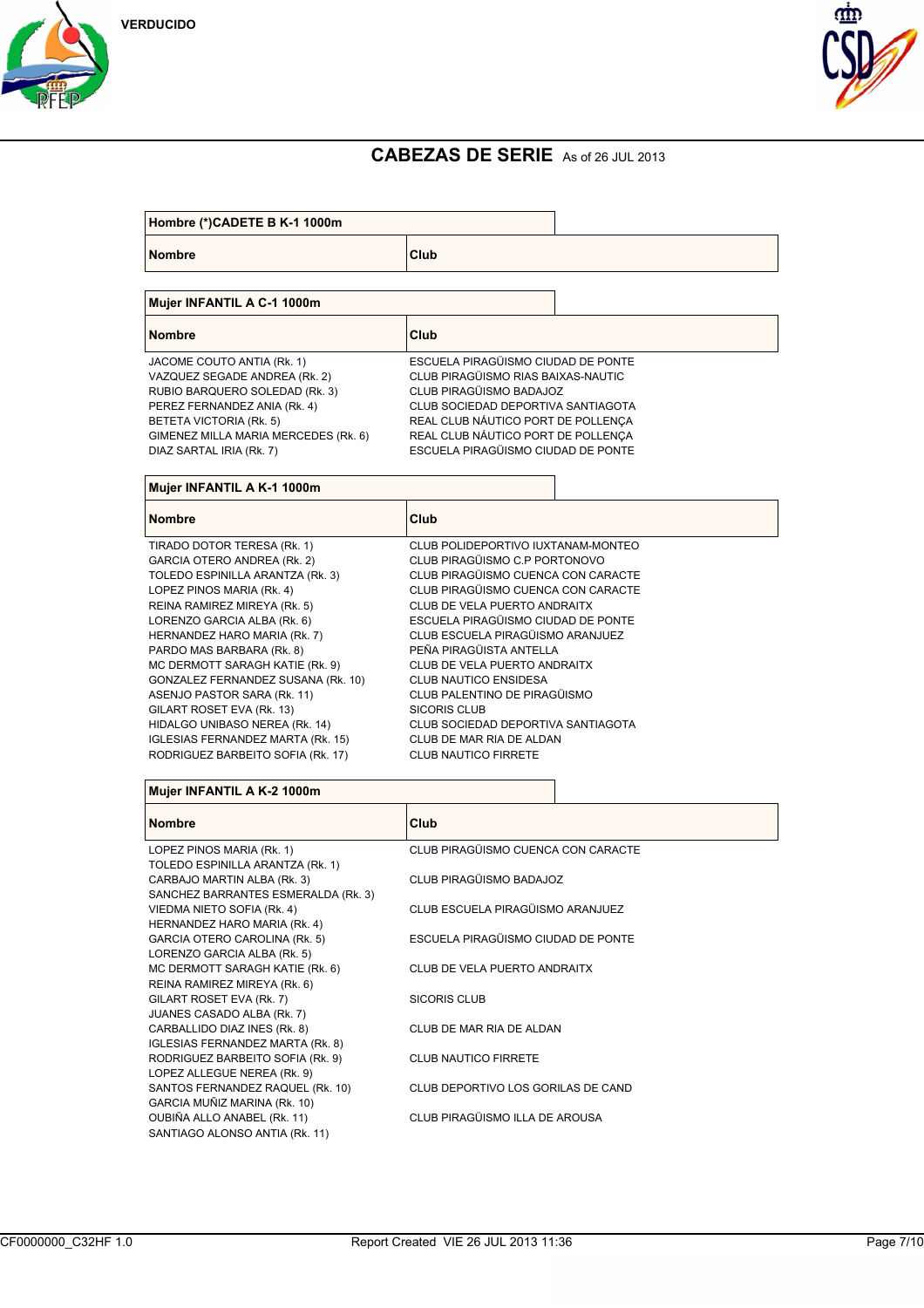



| Hombre (*)CADETE B K-1 1000m                                                                                                                                                                                                                                                                                                                                                                                                                                                                             |                                                                                                                                                                                                                                                                                                                                                                                                                                                                                                |  |
|----------------------------------------------------------------------------------------------------------------------------------------------------------------------------------------------------------------------------------------------------------------------------------------------------------------------------------------------------------------------------------------------------------------------------------------------------------------------------------------------------------|------------------------------------------------------------------------------------------------------------------------------------------------------------------------------------------------------------------------------------------------------------------------------------------------------------------------------------------------------------------------------------------------------------------------------------------------------------------------------------------------|--|
| <b>Nombre</b>                                                                                                                                                                                                                                                                                                                                                                                                                                                                                            | Club                                                                                                                                                                                                                                                                                                                                                                                                                                                                                           |  |
| Mujer INFANTIL A C-1 1000m                                                                                                                                                                                                                                                                                                                                                                                                                                                                               |                                                                                                                                                                                                                                                                                                                                                                                                                                                                                                |  |
| <b>Nombre</b>                                                                                                                                                                                                                                                                                                                                                                                                                                                                                            | Club                                                                                                                                                                                                                                                                                                                                                                                                                                                                                           |  |
| JACOME COUTO ANTIA (Rk. 1)<br>VAZQUEZ SEGADE ANDREA (Rk. 2)<br>RUBIO BARQUERO SOLEDAD (Rk. 3)<br>PEREZ FERNANDEZ ANIA (Rk. 4)<br>BETETA VICTORIA (Rk. 5)<br>GIMENEZ MILLA MARIA MERCEDES (Rk. 6)<br>DIAZ SARTAL IRIA (Rk. 7)                                                                                                                                                                                                                                                                             | ESCUELA PIRAGÜISMO CIUDAD DE PONTE<br>CLUB PIRAGÜISMO RIAS BAIXAS-NAUTIC<br>CLUB PIRAGÜISMO BADAJOZ<br>CLUB SOCIEDAD DEPORTIVA SANTIAGOTA<br>REAL CLUB NÁUTICO PORT DE POLLENCA<br>REAL CLUB NÁUTICO PORT DE POLLENÇA<br>ESCUELA PIRAGÜISMO CIUDAD DE PONTE                                                                                                                                                                                                                                    |  |
| Mujer INFANTIL A K-1 1000m                                                                                                                                                                                                                                                                                                                                                                                                                                                                               |                                                                                                                                                                                                                                                                                                                                                                                                                                                                                                |  |
| <b>Nombre</b>                                                                                                                                                                                                                                                                                                                                                                                                                                                                                            | Club                                                                                                                                                                                                                                                                                                                                                                                                                                                                                           |  |
| TIRADO DOTOR TERESA (Rk. 1)<br>GARCIA OTERO ANDREA (Rk. 2)<br>TOLEDO ESPINILLA ARANTZA (RK. 3)<br>LOPEZ PINOS MARIA (Rk. 4)<br>REINA RAMIREZ MIREYA (Rk. 5)<br>LORENZO GARCIA ALBA (Rk. 6)<br>HERNANDEZ HARO MARIA (Rk. 7)<br>PARDO MAS BARBARA (Rk. 8)<br>MC DERMOTT SARAGH KATIE (Rk. 9)<br>GONZALEZ FERNANDEZ SUSANA (Rk. 10)<br>ASENJO PASTOR SARA (Rk. 11)<br>GILART ROSET EVA (Rk. 13)<br>HIDALGO UNIBASO NEREA (Rk. 14)<br>IGLESIAS FERNANDEZ MARTA (Rk. 15)<br>RODRIGUEZ BARBEITO SOFIA (Rk. 17) | CLUB POLIDEPORTIVO IUXTANAM-MONTEO<br>CLUB PIRAGÜISMO C.P PORTONOVO<br>CLUB PIRAGÜISMO CUENCA CON CARACTE<br>CLUB PIRAGÜISMO CUENCA CON CARACTE<br>CLUB DE VELA PUERTO ANDRAITX<br>ESCUELA PIRAGÜISMO CIUDAD DE PONTE<br>CLUB ESCUELA PIRAGÜISMO ARANJUEZ<br>PEÑA PIRAGÜISTA ANTELLA<br>CLUB DE VELA PUERTO ANDRAITX<br>CLUB NAUTICO ENSIDESA<br>CLUB PALENTINO DE PIRAGÜISMO<br>SICORIS CLUB<br>CLUB SOCIEDAD DEPORTIVA SANTIAGOTA<br>CLUB DE MAR RIA DE ALDAN<br><b>CLUB NAUTICO FIRRETE</b> |  |
| Mujer INFANTIL A K-2 1000m                                                                                                                                                                                                                                                                                                                                                                                                                                                                               |                                                                                                                                                                                                                                                                                                                                                                                                                                                                                                |  |
| <b>Nombre</b>                                                                                                                                                                                                                                                                                                                                                                                                                                                                                            | Club                                                                                                                                                                                                                                                                                                                                                                                                                                                                                           |  |
| LOPEZ PINOS MARIA (Rk. 1)                                                                                                                                                                                                                                                                                                                                                                                                                                                                                | CLUB PIRAGÜISMO CUENCA CON CARACTE                                                                                                                                                                                                                                                                                                                                                                                                                                                             |  |
| TOLEDO ESPINILLA ARANTZA (Rk. 1)<br>CARBAJO MARTIN ALBA (Rk. 3)<br>SANCHEZ BARRANTES ESMERALDA (Rk. 3)                                                                                                                                                                                                                                                                                                                                                                                                   | CLUB PIRAGÜISMO BADAJOZ                                                                                                                                                                                                                                                                                                                                                                                                                                                                        |  |
| VIEDMA NIETO SOFIA (Rk. 4)<br>HERNANDEZ HARO MARIA (Rk. 4)                                                                                                                                                                                                                                                                                                                                                                                                                                               | CLUB ESCUELA PIRAGÜISMO ARANJUEZ                                                                                                                                                                                                                                                                                                                                                                                                                                                               |  |
| GARCIA OTERO CAROLINA (Rk. 5)<br>LORENZO GARCIA ALBA (Rk. 5)                                                                                                                                                                                                                                                                                                                                                                                                                                             | ESCUELA PIRAGÜISMO CIUDAD DE PONTE                                                                                                                                                                                                                                                                                                                                                                                                                                                             |  |
| MC DERMOTT SARAGH KATIE (Rk. 6)<br>REINA RAMIREZ MIREYA (Rk. 6)                                                                                                                                                                                                                                                                                                                                                                                                                                          | CLUB DE VELA PUERTO ANDRAITX                                                                                                                                                                                                                                                                                                                                                                                                                                                                   |  |
| GILART ROSET EVA (Rk. 7)<br>JUANES CASADO ALBA (Rk. 7)                                                                                                                                                                                                                                                                                                                                                                                                                                                   | SICORIS CLUB                                                                                                                                                                                                                                                                                                                                                                                                                                                                                   |  |
| CARBALLIDO DIAZ INES (Rk. 8)<br>IGLESIAS FERNANDEZ MARTA (RK. 8)<br>RODRIGUEZ BARBEITO SOFIA (Rk. 9)                                                                                                                                                                                                                                                                                                                                                                                                     | CLUB DE MAR RIA DE ALDAN<br><b>CLUB NAUTICO FIRRETE</b>                                                                                                                                                                                                                                                                                                                                                                                                                                        |  |
| LOPEZ ALLEGUE NEREA (Rk. 9)<br>SANTOS FERNANDEZ RAQUEL (Rk. 10)                                                                                                                                                                                                                                                                                                                                                                                                                                          | CLUB DEPORTIVO LOS GORILAS DE CAND                                                                                                                                                                                                                                                                                                                                                                                                                                                             |  |
| GARCIA MUÑIZ MARINA (Rk. 10)<br>OUBIÑA ALLO ANABEL (Rk. 11)<br>SANTIAGO ALONSO ANTIA (Rk. 11)                                                                                                                                                                                                                                                                                                                                                                                                            | CLUB PIRAGÜISMO ILLA DE AROUSA                                                                                                                                                                                                                                                                                                                                                                                                                                                                 |  |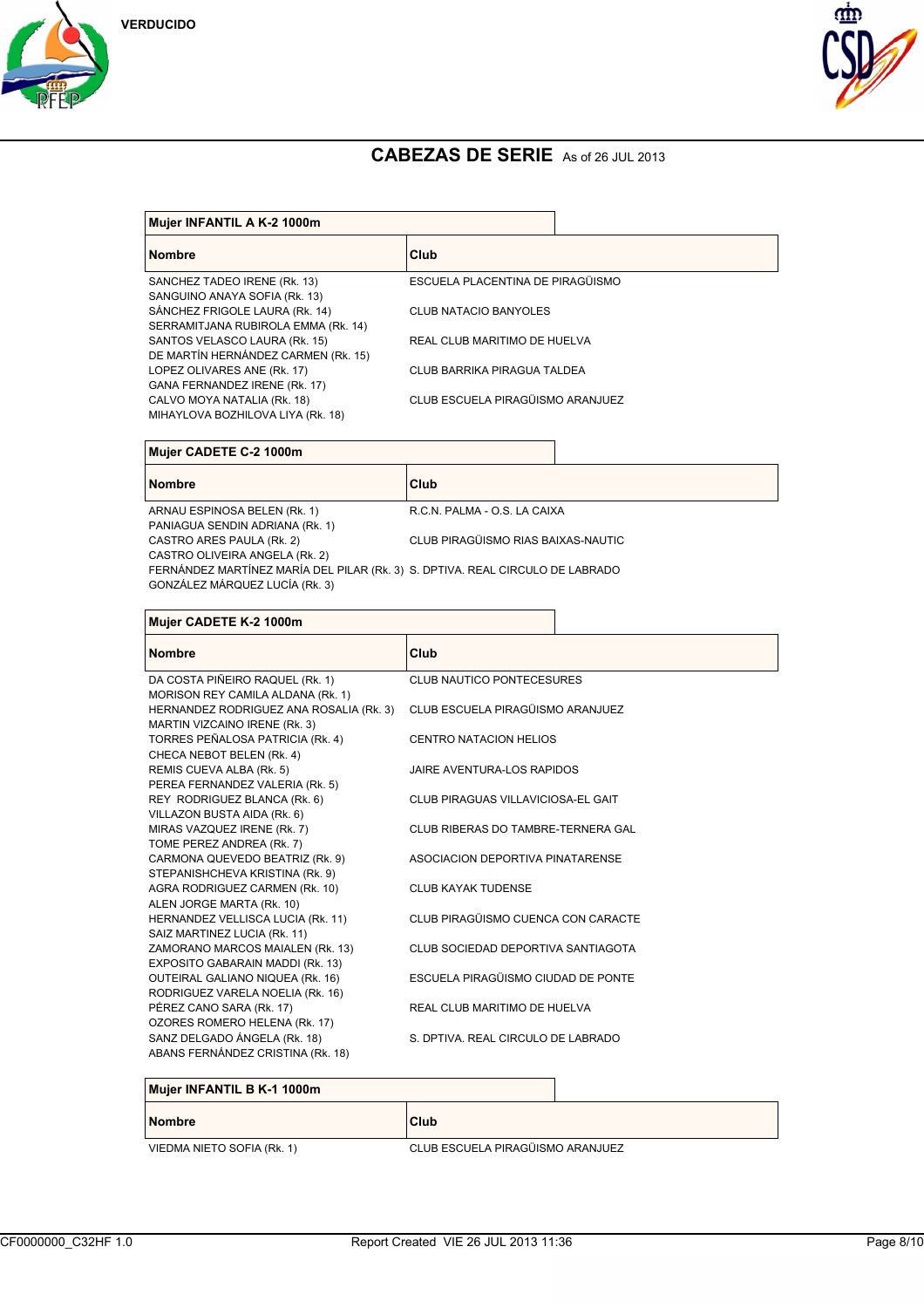





| <b>Nombre</b>                       | Club                             |
|-------------------------------------|----------------------------------|
|                                     |                                  |
| SANCHEZ TADEO IRENE (Rk. 13)        | ESCUELA PLACENTINA DE PIRAGÜISMO |
| SANGUINO ANAYA SOFIA (Rk. 13)       |                                  |
| SÁNCHEZ FRIGOLE LAURA (Rk. 14)      | CLUB NATACIO BANYOLES            |
| SERRAMITJANA RUBIROLA EMMA (Rk. 14) |                                  |
| SANTOS VELASCO LAURA (Rk. 15)       | REAL CLUB MARITIMO DE HUELVA     |
| DE MARTÍN HERNÁNDEZ CARMEN (Rk. 15) |                                  |
| LOPEZ OLIVARES ANE (Rk. 17)         | CLUB BARRIKA PIRAGUA TALDEA      |
| GANA FERNANDEZ IRENE (Rk. 17)       |                                  |
| CALVO MOYA NATALIA (Rk. 18)         | CLUB ESCUELA PIRAGÜISMO ARANJUEZ |
| MIHAYLOVA BOZHILOVA LIYA (Rk. 18)   |                                  |

| Mujer CADETE C-2 1000m                                                                                                                                                                                               |      |                              |  |
|----------------------------------------------------------------------------------------------------------------------------------------------------------------------------------------------------------------------|------|------------------------------|--|
| <b>Nombre</b>                                                                                                                                                                                                        | Club |                              |  |
| ARNAU ESPINOSA BELEN (Rk. 1)<br>PANIAGUA SENDIN ADRIANA (Rk. 1)                                                                                                                                                      |      | R.C.N. PALMA - O.S. LA CAIXA |  |
| CLUB PIRAGÜISMO RIAS BAIXAS-NAUTIC<br>CASTRO ARES PAULA (Rk. 2)<br>CASTRO OLIVEIRA ANGELA (Rk. 2)<br>FERNÁNDEZ MARTÍNEZ MARÍA DEL PILAR (Rk. 3) S. DPTIVA. REAL CIRCULO DE LABRADO<br>GONZÁLEZ MÁRQUEZ LUCÍA (Rk. 3) |      |                              |  |
|                                                                                                                                                                                                                      |      |                              |  |

| Mujer CADETE K-2 1000m                                                       |                                    |  |
|------------------------------------------------------------------------------|------------------------------------|--|
| <b>Nombre</b>                                                                | Club                               |  |
| DA COSTA PIÑEIRO RAQUEL (Rk. 1)                                              | CLUB NAUTICO PONTECESURES          |  |
| MORISON REY CAMILA ALDANA (Rk. 1)<br>HERNANDEZ RODRIGUEZ ANA ROSALIA (Rk. 3) | CLUB ESCUELA PIRAGÜISMO ARANJUEZ   |  |
| MARTIN VIZCAINO IRENE (Rk. 3)                                                |                                    |  |
| TORRES PEÑALOSA PATRICIA (Rk. 4)                                             | CENTRO NATACION HELIOS             |  |
| CHECA NEBOT BELEN (Rk. 4)                                                    |                                    |  |
| REMIS CUEVA ALBA (Rk. 5)                                                     | JAIRE AVENTURA-LOS RAPIDOS         |  |
| PEREA FERNANDEZ VALERIA (Rk. 5)<br>REY RODRIGUEZ BLANCA (Rk. 6)              | CLUB PIRAGUAS VILLAVICIOSA-EL GAIT |  |
| VILLAZON BUSTA AIDA (Rk. 6)                                                  |                                    |  |
| MIRAS VAZQUEZ IRENE (Rk. 7)                                                  | CLUB RIBERAS DO TAMBRE-TERNERA GAL |  |
| TOME PEREZ ANDREA (Rk. 7)                                                    |                                    |  |
| CARMONA QUEVEDO BEATRIZ (Rk. 9)                                              | ASOCIACION DEPORTIVA PINATARENSE   |  |
| STEPANISHCHEVA KRISTINA (RK. 9)<br>AGRA RODRIGUEZ CARMEN (Rk. 10)            | <b>CLUB KAYAK TUDENSE</b>          |  |
| ALEN JORGE MARTA (Rk. 10)                                                    |                                    |  |
| HERNANDEZ VELLISCA LUCIA (Rk. 11)                                            | CLUB PIRAGÜISMO CUENCA CON CARACTE |  |
| SAIZ MARTINEZ LUCIA (Rk. 11)                                                 |                                    |  |
| ZAMORANO MARCOS MAIALEN (Rk. 13)                                             | CLUB SOCIEDAD DEPORTIVA SANTIAGOTA |  |
| EXPOSITO GABARAIN MADDI (Rk. 13)                                             | ESCUELA PIRAGÜISMO CIUDAD DE PONTE |  |
| OUTEIRAL GALIANO NIQUEA (Rk. 16)<br>RODRIGUEZ VARELA NOELIA (Rk. 16)         |                                    |  |
| PÉREZ CANO SARA (Rk. 17)                                                     | REAL CLUB MARITIMO DE HUELVA       |  |
| OZORES ROMERO HELENA (Rk. 17)                                                |                                    |  |
| SANZ DELGADO ÁNGELA (Rk. 18)                                                 | S. DPTIVA. REAL CIRCULO DE LABRADO |  |
| ABANS FERNÁNDEZ CRISTINA (Rk. 18)                                            |                                    |  |
|                                                                              |                                    |  |

| Mujer INFANTIL B K-1 1000m |                                  |
|----------------------------|----------------------------------|
| <b>Nombre</b>              | Club                             |
| VIEDMA NIETO SOFIA (Rk. 1) | CLUB ESCUELA PIRAGÜISMO ARANJUEZ |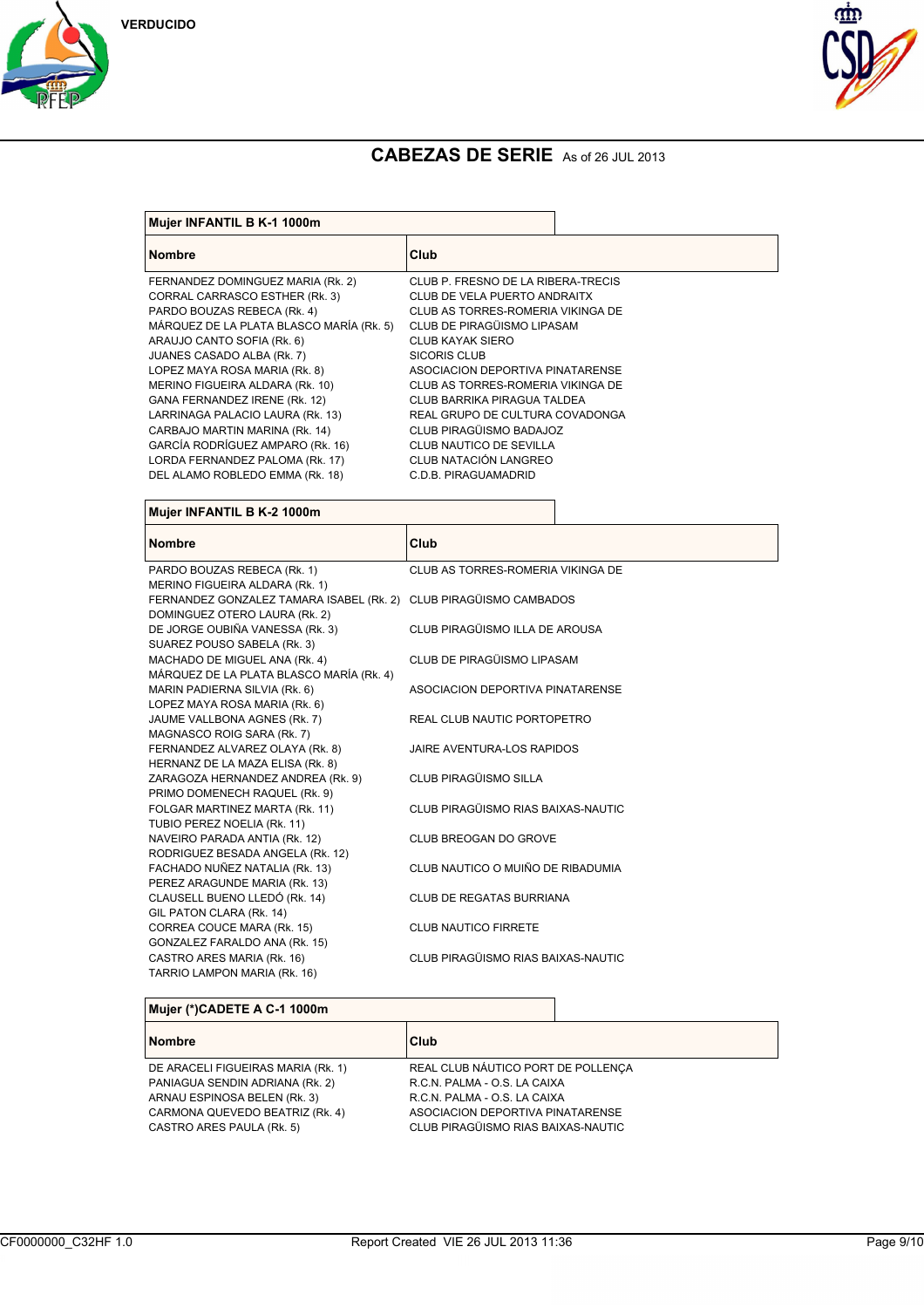





| Mujer INFANTIL B K-1 1000m               |                                    |                              |  |
|------------------------------------------|------------------------------------|------------------------------|--|
| <b>Nombre</b>                            | Club                               |                              |  |
| FERNANDEZ DOMINGUEZ MARIA (Rk. 2)        | CLUB P. FRESNO DE LA RIBERA-TRECIS |                              |  |
| CORRAL CARRASCO ESTHER (Rk. 3)           |                                    | CLUB DE VELA PUERTO ANDRAITX |  |
| PARDO BOUZAS REBECA (Rk. 4)              | CLUB AS TORRES-ROMERIA VIKINGA DE  |                              |  |
| MÁRQUEZ DE LA PLATA BLASCO MARÍA (Rk. 5) | CLUB DE PIRAGÜISMO LIPASAM         |                              |  |
| ARAUJO CANTO SOFIA (Rk. 6)               | CLUB KAYAK SIERO                   |                              |  |
| JUANES CASADO ALBA (Rk. 7)               | SICORIS CLUB                       |                              |  |
| LOPEZ MAYA ROSA MARIA (RK. 8)            | ASOCIACION DEPORTIVA PINATARENSE   |                              |  |
| MERINO FIGUEIRA ALDARA (Rk. 10)          | CLUB AS TORRES-ROMERIA VIKINGA DE  |                              |  |
| GANA FERNANDEZ IRENE (Rk. 12)            | CLUB BARRIKA PIRAGUA TALDEA        |                              |  |
| LARRINAGA PALACIO LAURA (Rk. 13)         | REAL GRUPO DE CULTURA COVADONGA    |                              |  |
| CARBAJO MARTIN MARINA (Rk. 14)           | CLUB PIRAGÜISMO BADAJOZ            |                              |  |
| GARCÍA RODRÍGUEZ AMPARO (Rk. 16)         | CLUB NAUTICO DE SEVILLA            |                              |  |
| LORDA FERNANDEZ PALOMA (Rk. 17)          | CLUB NATACIÓN LANGREO              |                              |  |
| DEL ALAMO ROBLEDO EMMA (Rk. 18)          | C.D.B. PIRAGUAMADRID               |                              |  |

| Mujer INFANTIL B K-2 1000m                                        |                                    |  |
|-------------------------------------------------------------------|------------------------------------|--|
| <b>Nombre</b>                                                     | Club                               |  |
| PARDO BOUZAS REBECA (Rk. 1)                                       | CLUB AS TORRES-ROMERIA VIKINGA DE  |  |
| MERINO FIGUEIRA ALDARA (Rk. 1)                                    |                                    |  |
| FERNANDEZ GONZALEZ TAMARA ISABEL (Rk. 2) CLUB PIRAGÜISMO CAMBADOS |                                    |  |
| DOMINGUEZ OTERO LAURA (Rk. 2)                                     |                                    |  |
| DE JORGE OUBIÑA VANESSA (Rk. 3)                                   | CLUB PIRAGÜISMO ILLA DE AROUSA     |  |
| SUAREZ POUSO SABELA (Rk. 3)                                       |                                    |  |
| MACHADO DE MIGUEL ANA (Rk. 4)                                     | CLUB DE PIRAGÜISMO LIPASAM         |  |
| MÁRQUEZ DE LA PLATA BLASCO MARÍA (Rk. 4)                          |                                    |  |
| MARIN PADIERNA SILVIA (Rk. 6)                                     | ASOCIACION DEPORTIVA PINATARENSE   |  |
| LOPEZ MAYA ROSA MARIA (Rk. 6)                                     |                                    |  |
| JAUME VALLBONA AGNES (Rk. 7)                                      | REAL CLUB NAUTIC PORTOPETRO        |  |
| MAGNASCO ROIG SARA (Rk. 7)                                        |                                    |  |
| FERNANDEZ ALVAREZ OLAYA (Rk. 8)                                   | JAIRE AVENTURA-LOS RAPIDOS         |  |
| HERNANZ DE LA MAZA ELISA (Rk. 8)                                  |                                    |  |
| ZARAGOZA HERNANDEZ ANDREA (Rk. 9)                                 | CLUB PIRAGÜISMO SILLA              |  |
| PRIMO DOMENECH RAQUEL (RK. 9)                                     |                                    |  |
| FOLGAR MARTINEZ MARTA (Rk. 11)                                    | CLUB PIRAGÜISMO RIAS BAIXAS-NAUTIC |  |
| TUBIO PEREZ NOELIA (Rk. 11)                                       |                                    |  |
| NAVEIRO PARADA ANTIA (Rk. 12)                                     | CLUB BREOGAN DO GROVE              |  |
| RODRIGUEZ BESADA ANGELA (Rk. 12)                                  |                                    |  |
| FACHADO NUÑEZ NATALIA (Rk. 13)                                    | CLUB NAUTICO O MUIÑO DE RIBADUMIA  |  |
| PEREZ ARAGUNDE MARIA (Rk. 13)                                     |                                    |  |
| CLAUSELL BUENO LLEDÓ (Rk. 14)                                     | <b>CLUB DE REGATAS BURRIANA</b>    |  |
| GIL PATON CLARA (Rk. 14)                                          |                                    |  |
| CORREA COUCE MARA (Rk. 15)                                        | <b>CLUB NAUTICO FIRRETE</b>        |  |
| GONZALEZ FARALDO ANA (Rk. 15)<br>CASTRO ARES MARIA (Rk. 16)       | CLUB PIRAGÜISMO RIAS BAIXAS-NAUTIC |  |
| TARRIO LAMPON MARIA (Rk. 16)                                      |                                    |  |

## **Mujer (\*)CADETE A C-1 1000m**

| <b>Nombre</b>                      | Club                               |
|------------------------------------|------------------------------------|
| DE ARACELI FIGUEIRAS MARIA (Rk. 1) | REAL CLUB NÁUTICO PORT DE POLLENÇA |
| PANIAGUA SENDIN ADRIANA (RK. 2)    | R.C.N. PALMA - O.S. LA CAIXA       |
| ARNAU ESPINOSA BELEN (Rk. 3)       | R.C.N. PALMA - O.S. LA CAIXA       |
| CARMONA QUEVEDO BEATRIZ (Rk. 4)    | ASOCIACION DEPORTIVA PINATARENSE   |
| CASTRO ARES PAULA (Rk. 5)          | CLUB PIRAGÜISMO RIAS BAIXAS-NAUTIC |